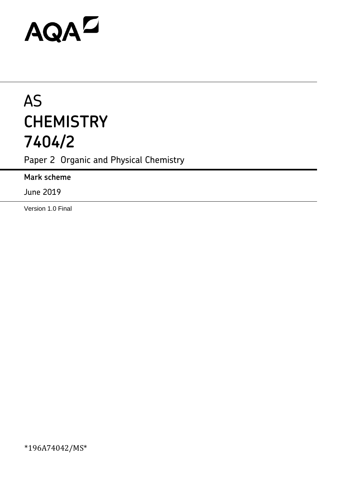# AQAZ

# AS **CHEMISTRY 7404/2**

Paper 2 Organic and Physical Chemistry

**Mark scheme**

June 2019

Version 1.0 Final

\*196A74042/MS\*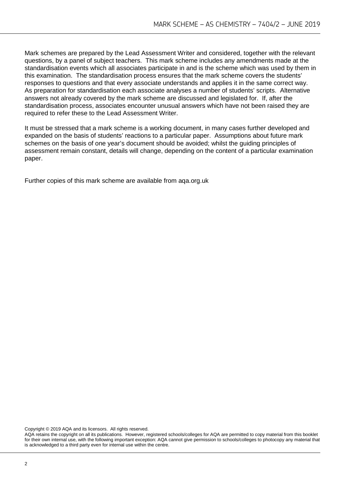Mark schemes are prepared by the Lead Assessment Writer and considered, together with the relevant questions, by a panel of subject teachers. This mark scheme includes any amendments made at the standardisation events which all associates participate in and is the scheme which was used by them in this examination. The standardisation process ensures that the mark scheme covers the students' responses to questions and that every associate understands and applies it in the same correct way. As preparation for standardisation each associate analyses a number of students' scripts. Alternative answers not already covered by the mark scheme are discussed and legislated for. If, after the standardisation process, associates encounter unusual answers which have not been raised they are required to refer these to the Lead Assessment Writer.

It must be stressed that a mark scheme is a working document, in many cases further developed and expanded on the basis of students' reactions to a particular paper. Assumptions about future mark schemes on the basis of one year's document should be avoided; whilst the guiding principles of assessment remain constant, details will change, depending on the content of a particular examination paper.

Further copies of this mark scheme are available from aqa.org.uk

Copyright © 2019 AQA and its licensors. All rights reserved.

AQA retains the copyright on all its publications. However, registered schools/colleges for AQA are permitted to copy material from this booklet for their own internal use, with the following important exception: AQA cannot give permission to schools/colleges to photocopy any material that is acknowledged to a third party even for internal use within the centre.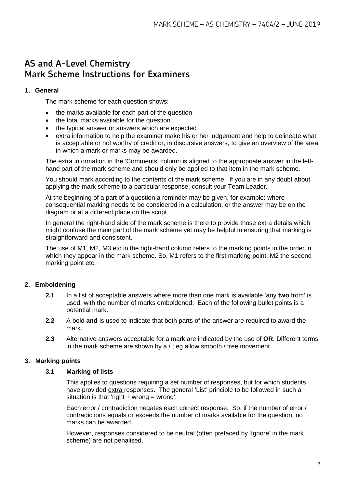# **AS and A-Level Chemistry Mark Scheme Instructions for Examiners**

#### **1. General**

The mark scheme for each question shows:

- the marks available for each part of the question
- the total marks available for the question
- the typical answer or answers which are expected
- extra information to help the examiner make his or her judgement and help to delineate what is acceptable or not worthy of credit or, in discursive answers, to give an overview of the area in which a mark or marks may be awarded.

The extra information in the 'Comments' column is aligned to the appropriate answer in the lefthand part of the mark scheme and should only be applied to that item in the mark scheme.

You should mark according to the contents of the mark scheme. If you are in any doubt about applying the mark scheme to a particular response, consult your Team Leader.

At the beginning of a part of a question a reminder may be given, for example: where consequential marking needs to be considered in a calculation; or the answer may be on the diagram or at a different place on the script.

In general the right-hand side of the mark scheme is there to provide those extra details which might confuse the main part of the mark scheme yet may be helpful in ensuring that marking is straightforward and consistent.

The use of M1, M2, M3 etc in the right-hand column refers to the marking points in the order in which they appear in the mark scheme. So, M1 refers to the first marking point, M2 the second marking point etc.

### **2. Emboldening**

- **2.1** In a list of acceptable answers where more than one mark is available 'any **two** from' is used, with the number of marks emboldened. Each of the following bullet points is a potential mark.
- **2.2** A bold **and** is used to indicate that both parts of the answer are required to award the mark.
- **2.3** Alternative answers acceptable for a mark are indicated by the use of **OR**. Different terms in the mark scheme are shown by a / ; eg allow smooth / free movement.

#### **3. Marking points**

#### **3.1 Marking of lists**

This applies to questions requiring a set number of responses, but for which students have provided extra responses. The general 'List' principle to be followed in such a situation is that 'right  $+$  wrong = wrong'.

Each error / contradiction negates each correct response. So, if the number of error / contradictions equals or exceeds the number of marks available for the question, no marks can be awarded.

However, responses considered to be neutral (often prefaced by 'Ignore' in the mark scheme) are not penalised.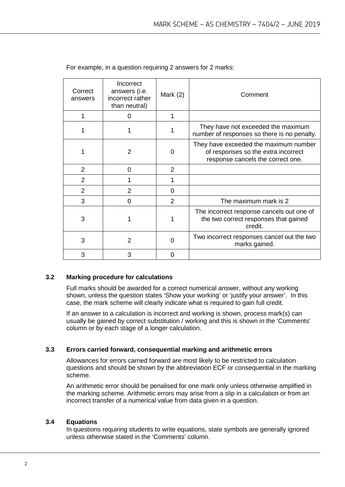| Correct<br>answers | Incorrect<br>answers (i.e.<br>incorrect rather<br>than neutral) | Mark $(2)$     | Comment                                                                                                           |
|--------------------|-----------------------------------------------------------------|----------------|-------------------------------------------------------------------------------------------------------------------|
|                    | 0                                                               |                |                                                                                                                   |
|                    |                                                                 |                | They have not exceeded the maximum<br>number of responses so there is no penalty.                                 |
|                    | $\overline{2}$                                                  | 0              | They have exceeded the maximum number<br>of responses so the extra incorrect<br>response cancels the correct one. |
| 2                  | $\Omega$                                                        | 2              |                                                                                                                   |
| 2                  |                                                                 |                |                                                                                                                   |
| $\overline{2}$     | 2                                                               | 0              |                                                                                                                   |
| 3                  | 0                                                               | $\overline{2}$ | The maximum mark is 2                                                                                             |
| 3                  |                                                                 |                | The incorrect response cancels out one of<br>the two correct responses that gained<br>credit.                     |
| 3                  | 2                                                               | $\Omega$       | Two incorrect responses cancel out the two<br>marks gained.                                                       |
| 3                  | 3                                                               | 0              |                                                                                                                   |

For example, in a question requiring 2 answers for 2 marks:

#### **3.2 Marking procedure for calculations**

Full marks should be awarded for a correct numerical answer, without any working shown, unless the question states 'Show your working' or 'justify your answer'. In this case, the mark scheme will clearly indicate what is required to gain full credit.

If an answer to a calculation is incorrect and working is shown, process mark(s) can usually be gained by correct substitution / working and this is shown in the 'Comments' column or by each stage of a longer calculation.

#### **3.3 Errors carried forward, consequential marking and arithmetic errors**

Allowances for errors carried forward are most likely to be restricted to calculation questions and should be shown by the abbreviation ECF or consequential in the marking scheme.

An arithmetic error should be penalised for one mark only unless otherwise amplified in the marking scheme. Arithmetic errors may arise from a slip in a calculation or from an incorrect transfer of a numerical value from data given in a question.

#### **3.4 Equations**

In questions requiring students to write equations, state symbols are generally ignored unless otherwise stated in the 'Comments' column.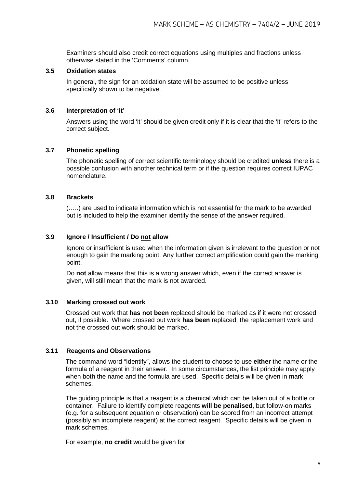Examiners should also credit correct equations using multiples and fractions unless otherwise stated in the 'Comments' column.

#### **3.5 Oxidation states**

In general, the sign for an oxidation state will be assumed to be positive unless specifically shown to be negative.

#### **3.6 Interpretation of 'it'**

Answers using the word 'it' should be given credit only if it is clear that the 'it' refers to the correct subject.

#### **3.7 Phonetic spelling**

The phonetic spelling of correct scientific terminology should be credited **unless** there is a possible confusion with another technical term or if the question requires correct IUPAC nomenclature.

#### **3.8 Brackets**

(…..) are used to indicate information which is not essential for the mark to be awarded but is included to help the examiner identify the sense of the answer required.

#### **3.9 Ignore / Insufficient / Do not allow**

Ignore or insufficient is used when the information given is irrelevant to the question or not enough to gain the marking point. Any further correct amplification could gain the marking point.

Do **not** allow means that this is a wrong answer which, even if the correct answer is given, will still mean that the mark is not awarded.

#### **3.10 Marking crossed out work**

Crossed out work that **has not been** replaced should be marked as if it were not crossed out, if possible. Where crossed out work **has been** replaced, the replacement work and not the crossed out work should be marked.

#### **3.11 Reagents and Observations**

The command word "Identify", allows the student to choose to use **either** the name or the formula of a reagent in their answer. In some circumstances, the list principle may apply when both the name and the formula are used. Specific details will be given in mark schemes.

The guiding principle is that a reagent is a chemical which can be taken out of a bottle or container. Failure to identify complete reagents **will be penalised**, but follow-on marks (e.g. for a subsequent equation or observation) can be scored from an incorrect attempt (possibly an incomplete reagent) at the correct reagent. Specific details will be given in mark schemes.

For example, **no credit** would be given for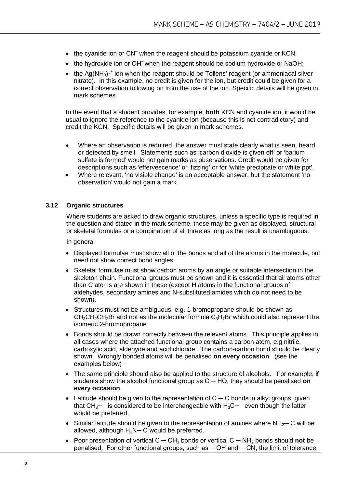- the cyanide ion or CN<sup>-</sup> when the reagent should be potassium cyanide or KCN;
- the hydroxide ion or OH<sup>-</sup> when the reagent should be sodium hydroxide or NaOH:
- the  $Ag(NH_3)_2^+$  ion when the reagent should be Tollens' reagent (or ammoniacal silver nitrate). In this example, no credit is given for the ion, but credit could be given for a correct observation following on from the use of the ion. Specific details will be given in mark schemes.

In the event that a student provides, for example, **both** KCN and cyanide ion, it would be usual to ignore the reference to the cyanide ion (because this is not contradictory) and credit the KCN. Specific details will be given in mark schemes.

- Where an observation is required, the answer must state clearly what is seen, heard or detected by smell. Statements such as 'carbon dioxide is given off' or 'barium sulfate is formed' would not gain marks as observations. Credit would be given for descriptions such as 'effervescence' or 'fizzing' or for 'white precipitate or white ppt'.
- Where relevant, 'no visible change' is an acceptable answer, but the statement 'no observation' would not gain a mark.

#### **3.12 Organic structures**

Where students are asked to draw organic structures, unless a specific type is required in the question and stated in the mark scheme, these may be given as displayed, structural or skeletal formulas or a combination of all three as long as the result is unambiguous.

In general

- Displayed formulae must show all of the bonds and all of the atoms in the molecule, but need not show correct bond angles.
- Skeletal formulae must show carbon atoms by an angle or suitable intersection in the skeleton chain. Functional groups must be shown and it is essential that all atoms other than C atoms are shown in these (except H atoms in the functional groups of aldehydes, secondary amines and N-substituted amides which do not need to be shown).
- Structures must not be ambiguous, e.g. 1-bromopropane should be shown as  $CH_3CH_2CH_2Br$  and not as the molecular formula  $C_3H_7Br$  which could also represent the isomeric 2-bromopropane.
- Bonds should be drawn correctly between the relevant atoms. This principle applies in all cases where the attached functional group contains a carbon atom, e.g nitrile, carboxylic acid, aldehyde and acid chloride. The carbon-carbon bond should be clearly shown. Wrongly bonded atoms will be penalised **on every occasion**. (see the examples below)
- The same principle should also be applied to the structure of alcohols. For example, if students show the alcohol functional group as C ─ HO, they should be penalised **on every occasion**.
- Latitude should be given to the representation of  $C C$  bonds in alkyl groups, given that  $CH_{3}$ — is considered to be interchangeable with  $H_3C$ — even though the latter would be preferred.
- Similar latitude should be given to the representation of amines where NH<sub>2</sub>— C will be allowed, although  $H_2N-C$  would be preferred.
- Poor presentation of vertical C ─ CH<sup>3</sup> bonds or vertical C ─ NH<sup>2</sup> bonds should **not** be penalised. For other functional groups, such as  $-$  OH and  $-$  CN, the limit of tolerance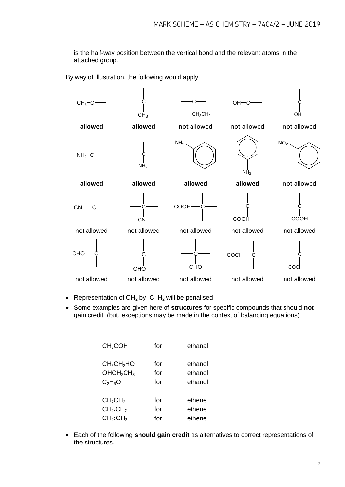is the half-way position between the vertical bond and the relevant atoms in the attached group.

By way of illustration, the following would apply.



- Representation of CH2 by C−H2 will be penalised
- Some examples are given here of **structures** for specific compounds that should **not** gain credit (but, exceptions may be made in the context of balancing equations)

| <b>CH<sub>3</sub>COH</b>           | for | ethanal |
|------------------------------------|-----|---------|
| CH <sub>3</sub> CH <sub>2</sub> HO | for | ethanol |
| OHCH <sub>2</sub> CH <sub>3</sub>  | for | ethanol |
| $C_2H_6O$                          | for | ethanol |
| CH <sub>2</sub> CH <sub>2</sub>    | for | ethene  |
| CH <sub>2</sub> .CH <sub>2</sub>   | for | ethene  |
| CH <sub>2</sub> :CH <sub>2</sub>   | for | ethene  |

• Each of the following **should gain credit** as alternatives to correct representations of the structures.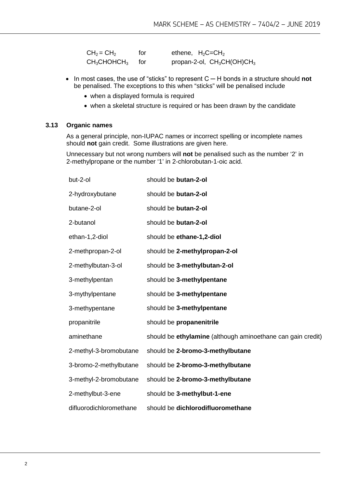| $CH2 = CH2$                         | for   | ethene, $H_2C=CH_2$           |
|-------------------------------------|-------|-------------------------------|
| CH <sub>3</sub> CHOHCH <sub>3</sub> | tor – | propan-2-ol, $CH_3CH(OH)CH_3$ |

- In most cases, the use of "sticks" to represent C ─ H bonds in a structure should **not** be penalised. The exceptions to this when "sticks" will be penalised include
	- when a displayed formula is required
	- when a skeletal structure is required or has been drawn by the candidate

#### **3.13 Organic names**

As a general principle, non-IUPAC names or incorrect spelling or incomplete names should **not** gain credit. Some illustrations are given here.

Unnecessary but not wrong numbers will **not** be penalised such as the number '2' in 2-methylpropane or the number '1' in 2-chlorobutan-1-oic acid.

| but-2-ol                | should be butan-2-ol                                        |
|-------------------------|-------------------------------------------------------------|
| 2-hydroxybutane         | should be butan-2-ol                                        |
| butane-2-ol             | should be butan-2-ol                                        |
| 2-butanol               | should be butan-2-ol                                        |
| ethan-1,2-diol          | should be ethane-1,2-diol                                   |
| 2-methpropan-2-ol       | should be 2-methylpropan-2-ol                               |
| 2-methylbutan-3-ol      | should be 3-methylbutan-2-ol                                |
| 3-methylpentan          | should be 3-methylpentane                                   |
| 3-mythylpentane         | should be 3-methylpentane                                   |
| 3-methypentane          | should be 3-methylpentane                                   |
| propanitrile            | should be propanenitrile                                    |
| aminethane              | should be ethylamine (although aminoethane can gain credit) |
| 2-methyl-3-bromobutane  | should be 2-bromo-3-methylbutane                            |
| 3-bromo-2-methylbutane  | should be 2-bromo-3-methylbutane                            |
| 3-methyl-2-bromobutane  | should be 2-bromo-3-methylbutane                            |
| 2-methylbut-3-ene       | should be 3-methylbut-1-ene                                 |
| difluorodichloromethane | should be dichlorodifluoromethane                           |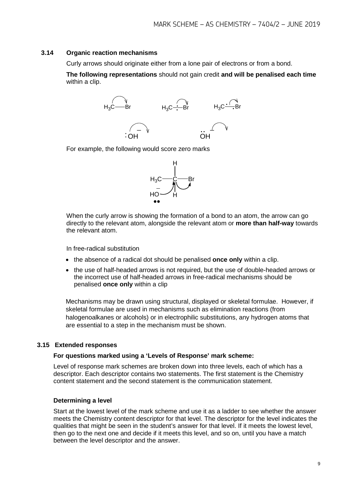#### **3.14 Organic reaction mechanisms**

Curly arrows should originate either from a lone pair of electrons or from a bond.

**The following representations** should not gain credit **and will be penalised each time**  within a clip.



For example, the following would score zero marks



When the curly arrow is showing the formation of a bond to an atom, the arrow can go directly to the relevant atom, alongside the relevant atom or **more than half-way** towards the relevant atom.

In free-radical substitution

- the absence of a radical dot should be penalised **once only** within a clip.
- the use of half-headed arrows is not required, but the use of double-headed arrows or the incorrect use of half-headed arrows in free-radical mechanisms should be penalised **once only** within a clip

Mechanisms may be drawn using structural, displayed or skeletal formulae. However, if skeletal formulae are used in mechanisms such as elimination reactions (from halogenoalkanes or alcohols) or in electrophilic substitutions, any hydrogen atoms that are essential to a step in the mechanism must be shown.

#### **3.15 Extended responses**

#### **For questions marked using a 'Levels of Response' mark scheme:**

Level of response mark schemes are broken down into three levels, each of which has a descriptor. Each descriptor contains two statements. The first statement is the Chemistry content statement and the second statement is the communication statement.

#### **Determining a level**

Start at the lowest level of the mark scheme and use it as a ladder to see whether the answer meets the Chemistry content descriptor for that level. The descriptor for the level indicates the qualities that might be seen in the student's answer for that level. If it meets the lowest level, then go to the next one and decide if it meets this level, and so on, until you have a match between the level descriptor and the answer.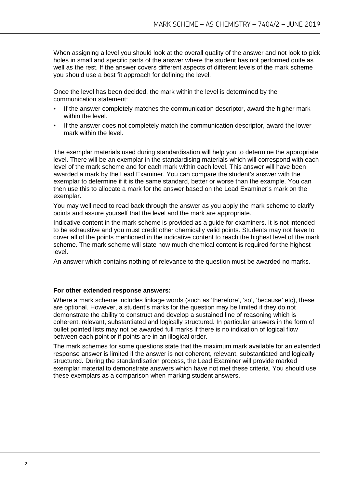When assigning a level you should look at the overall quality of the answer and not look to pick holes in small and specific parts of the answer where the student has not performed quite as well as the rest. If the answer covers different aspects of different levels of the mark scheme you should use a best fit approach for defining the level.

Once the level has been decided, the mark within the level is determined by the communication statement:

- If the answer completely matches the communication descriptor, award the higher mark within the level.
- If the answer does not completely match the communication descriptor, award the lower mark within the level.

The exemplar materials used during standardisation will help you to determine the appropriate level. There will be an exemplar in the standardising materials which will correspond with each level of the mark scheme and for each mark within each level. This answer will have been awarded a mark by the Lead Examiner. You can compare the student's answer with the exemplar to determine if it is the same standard, better or worse than the example. You can then use this to allocate a mark for the answer based on the Lead Examiner's mark on the exemplar.

You may well need to read back through the answer as you apply the mark scheme to clarify points and assure yourself that the level and the mark are appropriate.

Indicative content in the mark scheme is provided as a guide for examiners. It is not intended to be exhaustive and you must credit other chemically valid points. Students may not have to cover all of the points mentioned in the indicative content to reach the highest level of the mark scheme. The mark scheme will state how much chemical content is required for the highest level.

An answer which contains nothing of relevance to the question must be awarded no marks.

#### **For other extended response answers:**

Where a mark scheme includes linkage words (such as 'therefore', 'so', 'because' etc), these are optional. However, a student's marks for the question may be limited if they do not demonstrate the ability to construct and develop a sustained line of reasoning which is coherent, relevant, substantiated and logically structured. In particular answers in the form of bullet pointed lists may not be awarded full marks if there is no indication of logical flow between each point or if points are in an illogical order.

The mark schemes for some questions state that the maximum mark available for an extended response answer is limited if the answer is not coherent, relevant, substantiated and logically structured. During the standardisation process, the Lead Examiner will provide marked exemplar material to demonstrate answers which have not met these criteria. You should use these exemplars as a comparison when marking student answers.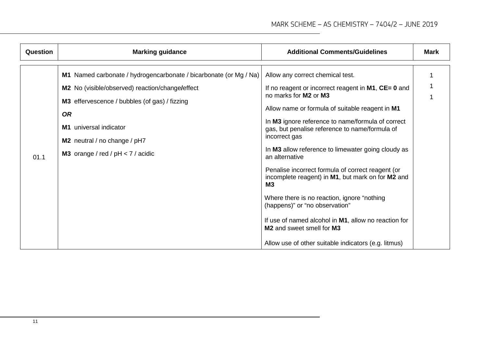| Question | <b>Marking guidance</b>                                                                                                                                                                                                                                                                    | <b>Additional Comments/Guidelines</b>                                                                                                                                                                                                                                                                                                                                                                                                                                                                                                                                                                                                                                                                                                        | <b>Mark</b> |
|----------|--------------------------------------------------------------------------------------------------------------------------------------------------------------------------------------------------------------------------------------------------------------------------------------------|----------------------------------------------------------------------------------------------------------------------------------------------------------------------------------------------------------------------------------------------------------------------------------------------------------------------------------------------------------------------------------------------------------------------------------------------------------------------------------------------------------------------------------------------------------------------------------------------------------------------------------------------------------------------------------------------------------------------------------------------|-------------|
| 01.1     | M1 Named carbonate / hydrogencarbonate / bicarbonate (or Mg / Na)<br>M2 No (visible/observed) reaction/change/effect<br>M3 effervescence / bubbles (of gas) / fizzing<br><b>OR</b><br>M1 universal indicator<br>M2 neutral / no change / pH7<br><b>M3</b> orange / red / $pH < 7$ / acidic | Allow any correct chemical test.<br>If no reagent or incorrect reagent in $M1$ , $CE = 0$ and<br>no marks for M2 or M3<br>Allow name or formula of suitable reagent in M1<br>In M3 ignore reference to name/formula of correct<br>gas, but penalise reference to name/formula of<br>incorrect gas<br>In M3 allow reference to limewater going cloudy as<br>an alternative<br>Penalise incorrect formula of correct reagent (or<br>incomplete reagent) in M1, but mark on for M2 and<br><b>M3</b><br>Where there is no reaction, ignore "nothing<br>(happens)" or "no observation"<br>If use of named alcohol in M1, allow no reaction for<br><b>M2</b> and sweet smell for <b>M3</b><br>Allow use of other suitable indicators (e.g. litmus) |             |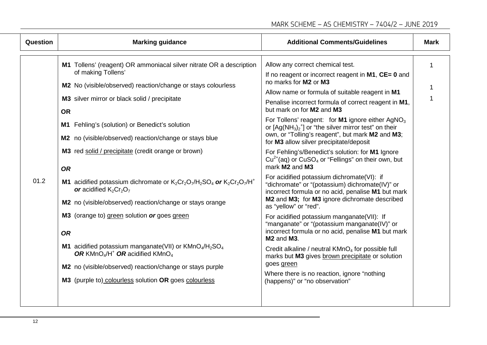| <b>Question</b> | <b>Marking guidance</b>                                                                                                                                                                                                                                                                                                                                                                                                                                                                                                                                                                                                                                                                                                                                                                                                                                                                                    | <b>Additional Comments/Guidelines</b>                                                                                                                                                                                                                                                                                                                                                                                                                                                                                                                                                                                                                                                                                                                                                                                                                                                                                                                                                                                                                                                                                                                                                                                                                                           | <b>Mark</b> |
|-----------------|------------------------------------------------------------------------------------------------------------------------------------------------------------------------------------------------------------------------------------------------------------------------------------------------------------------------------------------------------------------------------------------------------------------------------------------------------------------------------------------------------------------------------------------------------------------------------------------------------------------------------------------------------------------------------------------------------------------------------------------------------------------------------------------------------------------------------------------------------------------------------------------------------------|---------------------------------------------------------------------------------------------------------------------------------------------------------------------------------------------------------------------------------------------------------------------------------------------------------------------------------------------------------------------------------------------------------------------------------------------------------------------------------------------------------------------------------------------------------------------------------------------------------------------------------------------------------------------------------------------------------------------------------------------------------------------------------------------------------------------------------------------------------------------------------------------------------------------------------------------------------------------------------------------------------------------------------------------------------------------------------------------------------------------------------------------------------------------------------------------------------------------------------------------------------------------------------|-------------|
| 01.2            | M1 Tollens' (reagent) OR ammoniacal silver nitrate OR a description<br>of making Tollens'<br>M2 No (visible/observed) reaction/change or stays colourless<br>M3 silver mirror or black solid / precipitate<br><b>OR</b><br>M1 Fehling's (solution) or Benedict's solution<br>M2 no (visible/observed) reaction/change or stays blue<br>M3 red solid / precipitate (credit orange or brown)<br><b>OR</b><br>M1 acidified potassium dichromate or $K_2Cr_2O_7/H_2SO_4$ or $K_2Cr_2O_7/H^+$<br>or acidified $K_2Cr_2O_7$<br>M2 no (visible/observed) reaction/change or stays orange<br>M3 (orange to) green solution or goes green<br><b>OR</b><br><b>M1</b> acidified potassium manganate(VII) or $KMnO4/H2SO4$<br>OR KMnO <sub>4</sub> /H <sup>+</sup> OR acidified KMnO <sub>4</sub><br>M2 no (visible/observed) reaction/change or stays purple<br>M3 (purple to) colourless solution OR goes colourless | Allow any correct chemical test.<br>If no reagent or incorrect reagent in $M1$ , $CE = 0$ and<br>no marks for M2 or M3<br>Allow name or formula of suitable reagent in M1<br>Penalise incorrect formula of correct reagent in M1,<br>but mark on for M2 and M3<br>For Tollens' reagent: for M1 ignore either AgNO <sub>3</sub><br>or $[Ag(NH3)2+]$ or "the silver mirror test" on their<br>own, or "Tolling's reagent", but mark M2 and M3;<br>for M3 allow silver precipitate/deposit<br>For Fehling's/Benedict's solution: for M1 Ignore<br>$Cu2+(aq)$ or CuSO <sub>4</sub> or "Fellings" on their own, but<br>mark M2 and M3<br>For acidified potassium dichromate(VI): if<br>"dichromate" or "(potassium) dichromate(IV)" or<br>incorrect formula or no acid, penalise M1 but mark<br>M2 and M3; for M3 ignore dichromate described<br>as "yellow" or "red".<br>For acidified potassium manganate(VII): If<br>"manganate" or "(potassium manganate(IV)" or<br>incorrect formula or no acid, penalise M1 but mark<br>M <sub>2</sub> and M <sub>3</sub> .<br>Credit alkaline / neutral KMnO <sub>4</sub> for possible full<br>marks but M3 gives brown precipitate or solution<br>goes green<br>Where there is no reaction, ignore "nothing<br>(happens)" or "no observation" | 1           |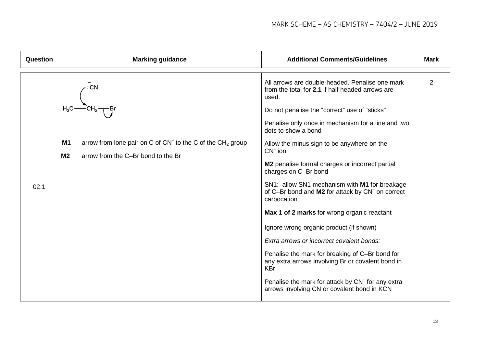| Question | <b>Marking guidance</b>                                                                                                               | <b>Additional Comments/Guidelines</b>                                                                                                                                                                                                                                                                                                                                                                                                                                                                                                                                                                                                                                                                                                                                                                                                                                                                 | <b>Mark</b>    |
|----------|---------------------------------------------------------------------------------------------------------------------------------------|-------------------------------------------------------------------------------------------------------------------------------------------------------------------------------------------------------------------------------------------------------------------------------------------------------------------------------------------------------------------------------------------------------------------------------------------------------------------------------------------------------------------------------------------------------------------------------------------------------------------------------------------------------------------------------------------------------------------------------------------------------------------------------------------------------------------------------------------------------------------------------------------------------|----------------|
| 02.1     | <b>M1</b><br>arrow from lone pair on C of $CN^-$ to the C of the $CH_2$ group<br>M <sub>2</sub><br>arrow from the C-Br bond to the Br | All arrows are double-headed. Penalise one mark<br>from the total for 2.1 if half headed arrows are<br>used.<br>Do not penalise the "correct" use of "sticks"<br>Penalise only once in mechanism for a line and two<br>dots to show a bond<br>Allow the minus sign to be anywhere on the<br>$CN^-$ ion<br>M2 penalise formal charges or incorrect partial<br>charges on C-Br bond<br>SN1: allow SN1 mechanism with M1 for breakage<br>of C-Br bond and M2 for attack by CN <sup>-</sup> on correct<br>carbocation<br>Max 1 of 2 marks for wrong organic reactant<br>Ignore wrong organic product (if shown)<br><b>Extra arrows or incorrect covalent bonds:</b><br>Penalise the mark for breaking of C-Br bond for<br>any extra arrows involving Br or covalent bond in<br><b>KBr</b><br>Penalise the mark for attack by CN <sup>-</sup> for any extra<br>arrows involving CN or covalent bond in KCN | $\overline{2}$ |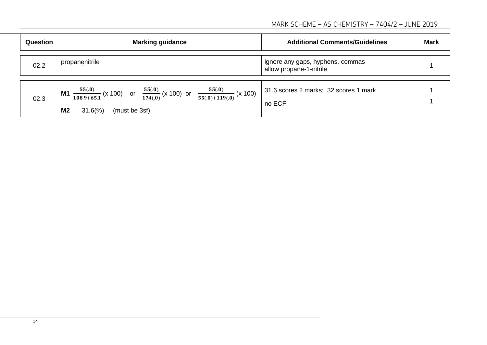| Question | <b>Marking guidance</b>                                                                                                                                               | <b>Additional Comments/Guidelines</b>                       | <b>Mark</b> |
|----------|-----------------------------------------------------------------------------------------------------------------------------------------------------------------------|-------------------------------------------------------------|-------------|
| 02.2     | propanenitrile                                                                                                                                                        | ignore any gaps, hyphens, commas<br>allow propane-1-nitrile |             |
| 02.3     | <b>M1</b> $\frac{55(0)}{108.9+65.1}$ (x 100) or $\frac{55(0)}{174(0)}$ (x 100) or $\frac{55(0)}{55(0)+119(0)}$ (x 100)<br>M <sub>2</sub><br>$31.6\%$<br>(must be 3sf) | 31.6 scores 2 marks; 32 scores 1 mark<br>no ECF             |             |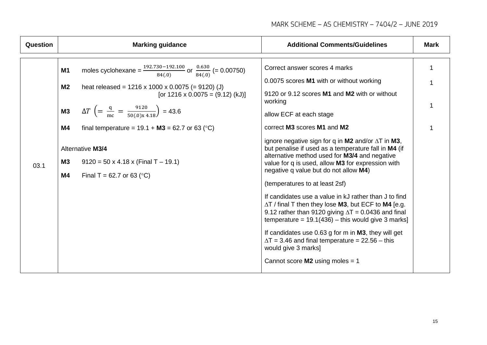| <b>Question</b> | <b>Marking guidance</b>                                                                                                                                                                                                                                                                                                                                                                                                                                                                                                         | <b>Additional Comments/Guidelines</b>                                                                                                                                                                                                                                                                                                                                                                                                                                                                                                                                                                                                                                                                                                                                                                                                                                                                                            | <b>Mark</b> |
|-----------------|---------------------------------------------------------------------------------------------------------------------------------------------------------------------------------------------------------------------------------------------------------------------------------------------------------------------------------------------------------------------------------------------------------------------------------------------------------------------------------------------------------------------------------|----------------------------------------------------------------------------------------------------------------------------------------------------------------------------------------------------------------------------------------------------------------------------------------------------------------------------------------------------------------------------------------------------------------------------------------------------------------------------------------------------------------------------------------------------------------------------------------------------------------------------------------------------------------------------------------------------------------------------------------------------------------------------------------------------------------------------------------------------------------------------------------------------------------------------------|-------------|
| 03.1            | moles cyclohexane = $\frac{192.730 - 192.100}{84(.0)}$ or $\frac{0.630}{84(.0)}$ (= 0.00750)<br>M <sub>1</sub><br>M2<br>heat released = $1216 \times 1000 \times 0.0075$ (= 9120) (J)<br>[or $1216 \times 0.0075 = (9.12)$ (kJ)]<br>$\Delta T \left( = \frac{q}{mc} = \frac{9120}{50(0)x 4.18} \right) = 43.6$<br><b>M3</b><br>M4<br>final temperature = $19.1 + M3 = 62.7$ or 63 (°C)<br><b>Alternative M3/4</b><br><b>M3</b><br>$9120 = 50 \times 4.18 \times (Final T - 19.1)$<br>M4<br>Final T = 62.7 or 63 ( $^{\circ}$ C) | Correct answer scores 4 marks<br>0.0075 scores M1 with or without working<br>9120 or 9.12 scores M1 and M2 with or without<br>working<br>allow ECF at each stage<br>correct M3 scores M1 and M2<br>ignore negative sign for q in M2 and/or $\Delta T$ in M3,<br>but penalise if used as a temperature fall in M4 (if<br>alternative method used for M3/4 and negative<br>value for q is used, allow M3 for expression with<br>negative q value but do not allow M4)<br>(temperatures to at least 2sf)<br>If candidates use a value in kJ rather than J to find<br>$\Delta T$ / final T then they lose M3, but ECF to M4 [e.g.<br>9.12 rather than 9120 giving $\Delta T = 0.0436$ and final<br>temperature = $19.1(436)$ – this would give 3 marks]<br>If candidates use 0.63 g for m in M3, they will get<br>$\Delta T = 3.46$ and final temperature = 22.56 - this<br>would give 3 marks]<br>Cannot score $M2$ using moles = 1 |             |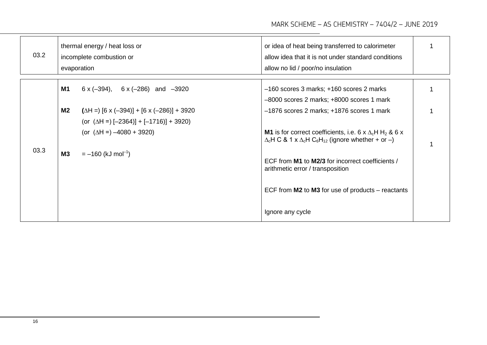| 03.2 |           | thermal energy / heat loss or<br>incomplete combustion or<br>evaporation                                 | or idea of heat being transferred to calorimeter<br>allow idea that it is not under standard conditions<br>allow no lid / poor/no insulation                                  |  |
|------|-----------|----------------------------------------------------------------------------------------------------------|-------------------------------------------------------------------------------------------------------------------------------------------------------------------------------|--|
|      | <b>M1</b> | $6 \times (-394)$ , $6 \times (-286)$ and $-3920$                                                        | $-160$ scores 3 marks; $+160$ scores 2 marks<br>-8000 scores 2 marks; +8000 scores 1 mark                                                                                     |  |
|      | M2        | $(\Delta H = [6 \times (-394)] + [6 \times (-286)] + 3920$<br>(or $(\Delta H = -2364) + (-1716) + 3920)$ | $-1876$ scores 2 marks; $+1876$ scores 1 mark                                                                                                                                 |  |
|      |           | (or $(\Delta H =) -4080 + 3920$ )                                                                        | <b>M1</b> is for correct coefficients, i.e. 6 x $\Delta_c$ H H <sub>2</sub> & 6 x<br>$\Delta_c$ H C & 1 x $\Delta_c$ H C <sub>6</sub> H <sub>12</sub> (ignore whether + or -) |  |
| 03.3 | <b>M3</b> | $= -160$ (kJ mol <sup>-1</sup> )                                                                         | ECF from M1 to M2/3 for incorrect coefficients /<br>arithmetic error / transposition                                                                                          |  |
|      |           |                                                                                                          | ECF from $M2$ to $M3$ for use of products – reactants                                                                                                                         |  |
|      |           |                                                                                                          | Ignore any cycle                                                                                                                                                              |  |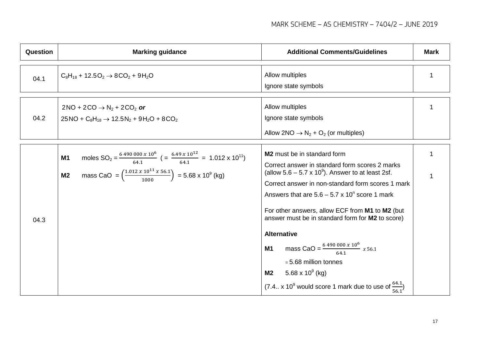| <b>Question</b> | <b>Marking guidance</b>                                                                                                                                                                                                                                 | <b>Additional Comments/Guidelines</b>                                                                                                                                                                                                                                                                                                                                                                                                                                                                                                                                                                                    | <b>Mark</b> |
|-----------------|---------------------------------------------------------------------------------------------------------------------------------------------------------------------------------------------------------------------------------------------------------|--------------------------------------------------------------------------------------------------------------------------------------------------------------------------------------------------------------------------------------------------------------------------------------------------------------------------------------------------------------------------------------------------------------------------------------------------------------------------------------------------------------------------------------------------------------------------------------------------------------------------|-------------|
| 04.1            | $C_8H_{18}$ + 12.5O <sub>2</sub> $\rightarrow$ 8CO <sub>2</sub> + 9H <sub>2</sub> O                                                                                                                                                                     | Allow multiples<br>Ignore state symbols                                                                                                                                                                                                                                                                                                                                                                                                                                                                                                                                                                                  |             |
| 04.2            | $2NO + 2CO \rightarrow N2 + 2CO2$ or<br>$25NO + C_8H_{18} \rightarrow 12.5N_2 + 9H_2O + 8CO_2$                                                                                                                                                          | Allow multiples<br>Ignore state symbols<br>Allow 2NO $\rightarrow$ N <sub>2</sub> + O <sub>2</sub> (or multiples)                                                                                                                                                                                                                                                                                                                                                                                                                                                                                                        |             |
| 04.3            | moles $SO_2 = \frac{6.490\,000\,x\,10^6}{64.1}$ ( $=\frac{6.49\,x\,10^{12}}{64.1}$ = 1.012 x 10 <sup>11</sup> )<br><b>M1</b><br>mass CaO = $\left(\frac{1.012 \times 10^{11} \times 56.1}{1000}\right)$ = 5.68 x 10 <sup>9</sup> (kg)<br>M <sub>2</sub> | <b>M2</b> must be in standard form<br>Correct answer in standard form scores 2 marks<br>(allow $5.6 - 5.7 \times 10^9$ ). Answer to at least 2sf.<br>Correct answer in non-standard form scores 1 mark<br>Answers that are $5.6 - 5.7 \times 10^{n}$ score 1 mark<br>For other answers, allow ECF from M1 to M2 (but<br>answer must be in standard form for M2 to score)<br><b>Alternative</b><br>mass CaO = $\frac{6490000 x 10^6}{644} x 56.1$<br><b>M1</b><br>$= 5.68$ million tonnes<br>5.68 x 10 $^{\circ}$ (kg)<br>M <sub>2</sub><br>(7.4 x 10 <sup>9</sup> would score 1 mark due to use of $\frac{64.1}{56.1}$ ) |             |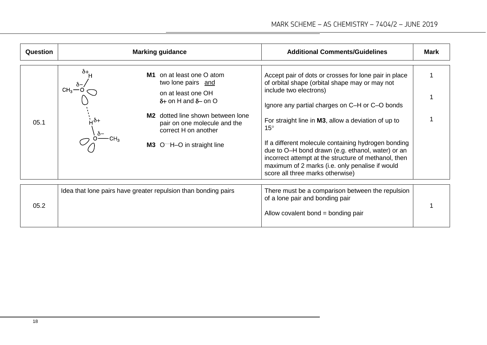| <b>Question</b> | <b>Marking guidance</b>                                                                                                                                                                                                                                                                       | <b>Additional Comments/Guidelines</b>                                                                                                                                                                                                                                                                                                                                                                                                                                                                                 | <b>Mark</b> |
|-----------------|-----------------------------------------------------------------------------------------------------------------------------------------------------------------------------------------------------------------------------------------------------------------------------------------------|-----------------------------------------------------------------------------------------------------------------------------------------------------------------------------------------------------------------------------------------------------------------------------------------------------------------------------------------------------------------------------------------------------------------------------------------------------------------------------------------------------------------------|-------------|
| 05.1            | on at least one O atom<br>M1<br>two lone pairs and<br>$CH3$ -<br>on at least one OH<br>$\delta$ + on H and $\delta$ – on O<br>M <sub>2</sub> dotted line shown between lone<br>$\dot{H}$ $\dot{\delta}+$<br>pair on one molecule and the<br>correct H on another<br>M3 O H-O in straight line | Accept pair of dots or crosses for lone pair in place<br>of orbital shape (orbital shape may or may not<br>include two electrons)<br>Ignore any partial charges on C-H or C-O bonds<br>For straight line in M3, allow a deviation of up to<br>$15^{\circ}$<br>If a different molecule containing hydrogen bonding<br>due to O-H bond drawn (e.g. ethanol, water) or an<br>incorrect attempt at the structure of methanol, then<br>maximum of 2 marks (i.e. only penalise if would<br>score all three marks otherwise) |             |
| 05.2            | Idea that lone pairs have greater repulsion than bonding pairs                                                                                                                                                                                                                                | There must be a comparison between the repulsion<br>of a lone pair and bonding pair<br>Allow covalent bond = bonding pair                                                                                                                                                                                                                                                                                                                                                                                             |             |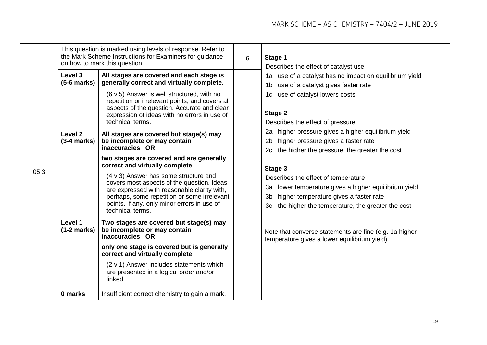|      |                                                      | This question is marked using levels of response. Refer to<br>the Mark Scheme Instructions for Examiners for guidance<br>on how to mark this question.                                                                                                                                                                                                                                                                                                                                                                                                                                                                                                                     | 6 | Stage 1<br>Describes the effect of catalyst use                                                                                                                                                                                                                                                                                                                                                                                                                                                                                |
|------|------------------------------------------------------|----------------------------------------------------------------------------------------------------------------------------------------------------------------------------------------------------------------------------------------------------------------------------------------------------------------------------------------------------------------------------------------------------------------------------------------------------------------------------------------------------------------------------------------------------------------------------------------------------------------------------------------------------------------------------|---|--------------------------------------------------------------------------------------------------------------------------------------------------------------------------------------------------------------------------------------------------------------------------------------------------------------------------------------------------------------------------------------------------------------------------------------------------------------------------------------------------------------------------------|
| 05.3 | Level 3<br>$(5-6$ marks)<br>Level 2<br>$(3-4 marks)$ | All stages are covered and each stage is<br>generally correct and virtually complete.<br>(6 v 5) Answer is well structured, with no<br>repetition or irrelevant points, and covers all<br>aspects of the question. Accurate and clear<br>expression of ideas with no errors in use of<br>technical terms.<br>All stages are covered but stage(s) may<br>be incomplete or may contain<br>inaccuracies OR<br>two stages are covered and are generally<br>correct and virtually complete<br>(4 v 3) Answer has some structure and<br>covers most aspects of the question. Ideas<br>are expressed with reasonable clarity with,<br>perhaps, some repetition or some irrelevant |   | 1a use of a catalyst has no impact on equilibrium yield<br>use of a catalyst gives faster rate<br>1b<br>use of catalyst lowers costs<br>1c<br>Stage 2<br>Describes the effect of pressure<br>2a higher pressure gives a higher equilibrium yield<br>higher pressure gives a faster rate<br>2 <sub>b</sub><br>the higher the pressure, the greater the cost<br>2c<br>Stage 3<br>Describes the effect of temperature<br>lower temperature gives a higher equilibrium yield<br>За<br>higher temperature gives a faster rate<br>3b |
|      | Level 1<br>$(1-2 marks)$                             | points. If any, only minor errors in use of<br>technical terms.<br>Two stages are covered but stage(s) may<br>be incomplete or may contain<br>inaccuracies OR<br>only one stage is covered but is generally<br>correct and virtually complete<br>(2 v 1) Answer includes statements which<br>are presented in a logical order and/or<br>linked.                                                                                                                                                                                                                                                                                                                            |   | the higher the temperature, the greater the cost<br>3c<br>Note that converse statements are fine (e.g. 1a higher<br>temperature gives a lower equilibrium yield)                                                                                                                                                                                                                                                                                                                                                               |
|      | 0 marks                                              | Insufficient correct chemistry to gain a mark.                                                                                                                                                                                                                                                                                                                                                                                                                                                                                                                                                                                                                             |   |                                                                                                                                                                                                                                                                                                                                                                                                                                                                                                                                |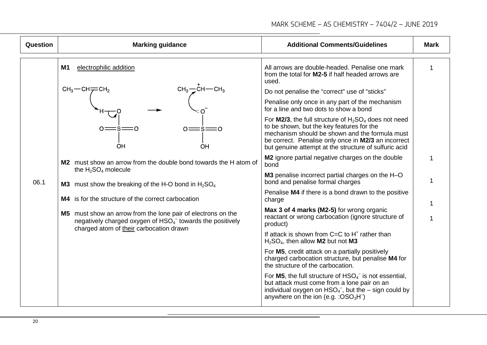| <b>Question</b> | <b>Marking guidance</b>                                                                                                                                                                                                                                                                                                                                                                                                                                                                                                                                                | <b>Additional Comments/Guidelines</b>                                                                                                                                                                                                                                          | <b>Mark</b> |
|-----------------|------------------------------------------------------------------------------------------------------------------------------------------------------------------------------------------------------------------------------------------------------------------------------------------------------------------------------------------------------------------------------------------------------------------------------------------------------------------------------------------------------------------------------------------------------------------------|--------------------------------------------------------------------------------------------------------------------------------------------------------------------------------------------------------------------------------------------------------------------------------|-------------|
|                 | <b>M1</b><br>electrophilic addition<br>$CH_3$ $\rightarrow$ $CH$ $\rightarrow$ $CH_3$<br>$CH3$ -CH $\rightleftarrows$ CH <sub>2</sub><br>$0 = \text{S} = 0$<br>OH<br>OH<br>M2 must show an arrow from the double bond towards the H atom of<br>the $H_2SO_4$ molecule<br><b>M3</b> must show the breaking of the H-O bond in $H_2SO_4$<br>M4 is for the structure of the correct carbocation<br>M5 must show an arrow from the lone pair of electrons on the<br>negatively charged oxygen of $HSO4-$ towards the positively<br>charged atom of their carbocation drawn | All arrows are double-headed. Penalise one mark<br>from the total for M2-5 if half headed arrows are<br>used.                                                                                                                                                                  | 1           |
|                 |                                                                                                                                                                                                                                                                                                                                                                                                                                                                                                                                                                        | Do not penalise the "correct" use of "sticks"                                                                                                                                                                                                                                  |             |
|                 |                                                                                                                                                                                                                                                                                                                                                                                                                                                                                                                                                                        | Penalise only once in any part of the mechanism<br>for a line and two dots to show a bond                                                                                                                                                                                      |             |
|                 |                                                                                                                                                                                                                                                                                                                                                                                                                                                                                                                                                                        | For <b>M2/3</b> , the full structure of $H_2SO_4$ does not need<br>to be shown, but the key features for the<br>mechanism should be shown and the formula must<br>be correct. Penalise only once in M2/3 an incorrect<br>but genuine attempt at the structure of sulfuric acid |             |
|                 |                                                                                                                                                                                                                                                                                                                                                                                                                                                                                                                                                                        | M2 ignore partial negative charges on the double<br>bond                                                                                                                                                                                                                       |             |
| 06.1            |                                                                                                                                                                                                                                                                                                                                                                                                                                                                                                                                                                        | M3 penalise incorrect partial charges on the H-O<br>bond and penalise formal charges                                                                                                                                                                                           |             |
|                 |                                                                                                                                                                                                                                                                                                                                                                                                                                                                                                                                                                        | Penalise M4 if there is a bond drawn to the positive<br>charge                                                                                                                                                                                                                 |             |
|                 |                                                                                                                                                                                                                                                                                                                                                                                                                                                                                                                                                                        | Max 3 of 4 marks (M2-5) for wrong organic<br>reactant or wrong carbocation (ignore structure of<br>product)                                                                                                                                                                    |             |
|                 |                                                                                                                                                                                                                                                                                                                                                                                                                                                                                                                                                                        | If attack is shown from $C=C$ to $H^+$ rather than<br>$H2SO4$ , then allow <b>M2</b> but not <b>M3</b>                                                                                                                                                                         |             |
|                 |                                                                                                                                                                                                                                                                                                                                                                                                                                                                                                                                                                        | For M5, credit attack on a partially positively<br>charged carbocation structure, but penalise M4 for<br>the structure of the carbocation.                                                                                                                                     |             |
|                 |                                                                                                                                                                                                                                                                                                                                                                                                                                                                                                                                                                        | For M5, the full structure of $HSO4-$ is not essential,<br>but attack must come from a lone pair on an<br>individual oxygen on $HSO4$ , but the – sign could by<br>anywhere on the ion (e.g. : $OSO_3H^-$ )                                                                    |             |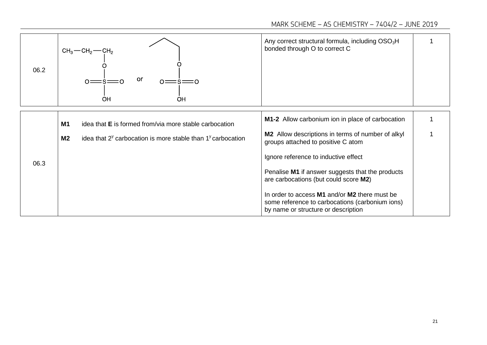| 06.2 | $CH_3$ — $CH_2$ — $CH_2$<br>or<br>$\circ$ $=$<br>OH<br>OH                                                                                                         | Any correct structural formula, including $OSO3H$<br>bonded through O to correct C                                                                                                                                                   |  |
|------|-------------------------------------------------------------------------------------------------------------------------------------------------------------------|--------------------------------------------------------------------------------------------------------------------------------------------------------------------------------------------------------------------------------------|--|
| 06.3 | <b>M1</b><br>idea that <b>E</b> is formed from/via more stable carbocation<br>idea that $2^y$ carbocation is more stable than $1^y$ carbocation<br>M <sub>2</sub> | <b>M1-2</b> Allow carbonium ion in place of carbocation<br>M2 Allow descriptions in terms of number of alkyl<br>groups attached to positive C atom<br>Ignore reference to inductive effect                                           |  |
|      |                                                                                                                                                                   | Penalise M1 if answer suggests that the products<br>are carbocations (but could score M2)<br>In order to access M1 and/or M2 there must be<br>some reference to carbocations (carbonium ions)<br>by name or structure or description |  |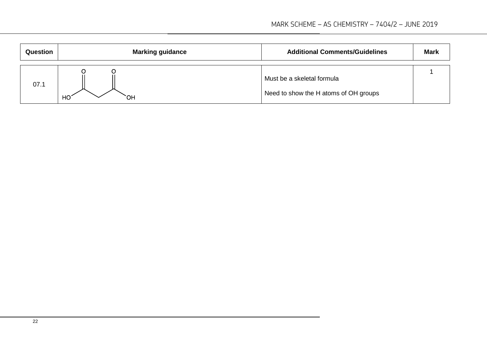| <b>Question</b> | <b>Marking guidance</b> | <b>Additional Comments/Guidelines</b>                               | <b>Mark</b> |
|-----------------|-------------------------|---------------------------------------------------------------------|-------------|
| 07.1            | HO <sup>'</sup><br>OH.  | Must be a skeletal formula<br>Need to show the H atoms of OH groups |             |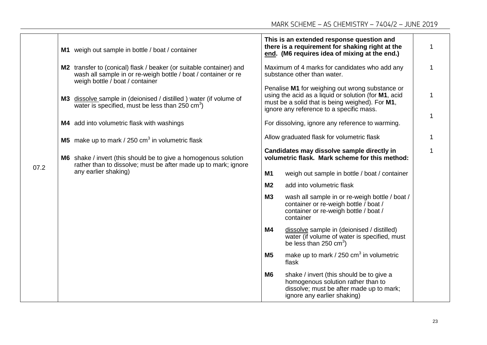|      |  | M1 weigh out sample in bottle / boat / container                                                                                                                         |                                            | This is an extended response question and<br>there is a requirement for shaking right at the<br>end. (M6 requires idea of mixing at the end.)                                                          |  |
|------|--|--------------------------------------------------------------------------------------------------------------------------------------------------------------------------|--------------------------------------------|--------------------------------------------------------------------------------------------------------------------------------------------------------------------------------------------------------|--|
|      |  | M2 transfer to (conical) flask / beaker (or suitable container) and<br>wash all sample in or re-weigh bottle / boat / container or re<br>weigh bottle / boat / container |                                            | Maximum of 4 marks for candidates who add any<br>substance other than water.                                                                                                                           |  |
|      |  | M3 dissolve sample in (deionised / distilled ) water (if volume of<br>water is specified, must be less than $250 \text{ cm}^3$ )                                         |                                            | Penalise M1 for weighing out wrong substance or<br>using the acid as a liquid or solution (for M1, acid<br>must be a solid that is being weighed). For M1,<br>ignore any reference to a specific mass. |  |
|      |  | M4 add into volumetric flask with washings                                                                                                                               |                                            | For dissolving, ignore any reference to warming.                                                                                                                                                       |  |
|      |  | <b>M5</b> make up to mark / 250 $\text{cm}^3$ in volumetric flask                                                                                                        | Allow graduated flask for volumetric flask |                                                                                                                                                                                                        |  |
| 07.2 |  | M6 shake / invert (this should be to give a homogenous solution<br>rather than to dissolve; must be after made up to mark; ignore<br>any earlier shaking)                |                                            | Candidates may dissolve sample directly in<br>volumetric flask. Mark scheme for this method:                                                                                                           |  |
|      |  |                                                                                                                                                                          | M1                                         | weigh out sample in bottle / boat / container                                                                                                                                                          |  |
|      |  |                                                                                                                                                                          | M <sub>2</sub>                             | add into volumetric flask                                                                                                                                                                              |  |
|      |  |                                                                                                                                                                          | M3                                         | wash all sample in or re-weigh bottle / boat /<br>container or re-weigh bottle / boat /<br>container or re-weigh bottle / boat /<br>container                                                          |  |
|      |  |                                                                                                                                                                          | <b>M4</b>                                  | dissolve sample in (deionised / distilled)<br>water (if volume of water is specified, must<br>be less than 250 $\text{cm}^3$ )                                                                         |  |
|      |  |                                                                                                                                                                          | M <sub>5</sub>                             | make up to mark / $250 \text{ cm}^3$ in volumetric<br>flask                                                                                                                                            |  |
|      |  |                                                                                                                                                                          | M <sub>6</sub>                             | shake / invert (this should be to give a<br>homogenous solution rather than to<br>dissolve; must be after made up to mark;<br>ignore any earlier shaking)                                              |  |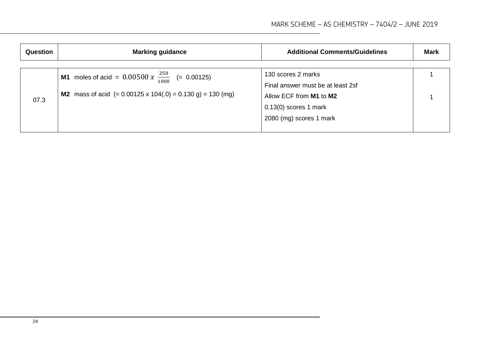| <b>Question</b><br><b>Marking guidance</b> |                                                                                                                                                     | <b>Additional Comments/Guidelines</b>                                                                                                    | <b>Mark</b> |
|--------------------------------------------|-----------------------------------------------------------------------------------------------------------------------------------------------------|------------------------------------------------------------------------------------------------------------------------------------------|-------------|
| 07.3                                       | <b>M1</b> moles of acid = $0.00500 \times \frac{250}{1000}$ (= 0.00125)<br><b>M2</b> mass of acid $(= 0.00125 \times 104(.0) = 0.130 g) = 130 (mg)$ | 130 scores 2 marks<br>Final answer must be at least 2sf<br>Allow ECF from M1 to M2<br>$0.13(0)$ scores 1 mark<br>2080 (mg) scores 1 mark |             |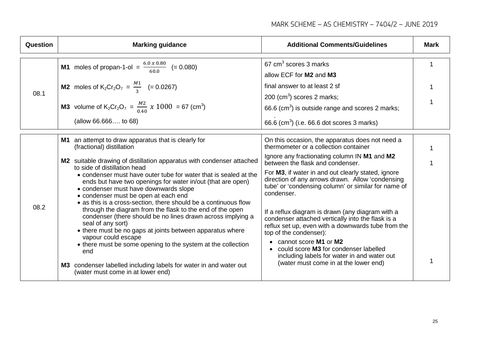| Question | <b>Marking guidance</b>                                                                                                                                                                                                                                                                                                                                                                                                                                                                                                                                                                                                                                                                                                                                                                                                                                                                                | <b>Additional Comments/Guidelines</b>                                                                                                                                                                                                                                                                                                                                                                                                                                                                                                                                                                                                                                                                            | <b>Mark</b> |
|----------|--------------------------------------------------------------------------------------------------------------------------------------------------------------------------------------------------------------------------------------------------------------------------------------------------------------------------------------------------------------------------------------------------------------------------------------------------------------------------------------------------------------------------------------------------------------------------------------------------------------------------------------------------------------------------------------------------------------------------------------------------------------------------------------------------------------------------------------------------------------------------------------------------------|------------------------------------------------------------------------------------------------------------------------------------------------------------------------------------------------------------------------------------------------------------------------------------------------------------------------------------------------------------------------------------------------------------------------------------------------------------------------------------------------------------------------------------------------------------------------------------------------------------------------------------------------------------------------------------------------------------------|-------------|
| 08.1     | <b>M1</b> moles of propan-1-ol = $\frac{6.0 \times 0.80}{60.0}$ (= 0.080)<br><b>M2</b> moles of $K_2Cr_2O_7 = \frac{M_1}{3}$ (= 0.0267)<br><b>M3</b> volume of K <sub>2</sub> Cr <sub>2</sub> O <sub>7</sub> = $\frac{M2}{0.40}$ x 1000 = 67 (cm <sup>3</sup> )<br>(allow 66.666 to 68)                                                                                                                                                                                                                                                                                                                                                                                                                                                                                                                                                                                                                | 67 $cm3$ scores 3 marks<br>allow ECF for M2 and M3<br>final answer to at least 2 sf<br>$200$ (cm <sup>3</sup> ) scores 2 marks;<br>66.6 ( $\text{cm}^3$ ) is outside range and scores 2 marks;<br>66.6 (cm <sup>3</sup> ) (i.e. 66.6 dot scores 3 marks)                                                                                                                                                                                                                                                                                                                                                                                                                                                         | 1           |
| 08.2     | M1 an attempt to draw apparatus that is clearly for<br>(fractional) distillation<br>M2 suitable drawing of distillation apparatus with condenser attached<br>to side of distillation head<br>• condenser must have outer tube for water that is sealed at the<br>ends but have two openings for water in/out (that are open)<br>• condenser must have downwards slope<br>• condenser must be open at each end<br>• as this is a cross-section, there should be a continuous flow<br>through the diagram from the flask to the end of the open<br>condenser (there should be no lines drawn across implying a<br>seal of any sort)<br>• there must be no gaps at joints between apparatus where<br>vapour could escape<br>• there must be some opening to the system at the collection<br>end<br>M3 condenser labelled including labels for water in and water out<br>(water must come in at lower end) | On this occasion, the apparatus does not need a<br>thermometer or a collection container<br>Ignore any fractionating column IN M1 and M2<br>between the flask and condenser.<br>For M3, if water in and out clearly stated, ignore<br>direction of any arrows drawn. Allow 'condensing<br>tube' or 'condensing column' or similar for name of<br>condenser.<br>If a reflux diagram is drawn (any diagram with a<br>condenser attached vertically into the flask is a<br>reflux set up, even with a downwards tube from the<br>top of the condenser):<br>• cannot score M1 or M2<br>could score M3 for condenser labelled<br>including labels for water in and water out<br>(water must come in at the lower end) |             |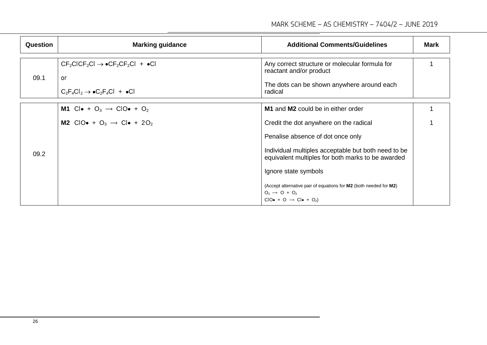| <b>Question</b> | <b>Marking guidance</b>                                                                                                    | <b>Additional Comments/Guidelines</b>                                                                                                          | Mark |
|-----------------|----------------------------------------------------------------------------------------------------------------------------|------------------------------------------------------------------------------------------------------------------------------------------------|------|
| 09.1            | $CF_2CICF_2Cl \rightarrow \bullet CF_2CF_2Cl + \bullet Cl$<br>or<br>$C_2F_4Cl_2 \rightarrow \bullet C_2F_4Cl + \bullet Cl$ | Any correct structure or molecular formula for<br>reactant and/or product<br>The dots can be shown anywhere around each<br>radical             |      |
|                 | M1 Clo + $O_3 \rightarrow$ ClOo + $O_2$<br>M2 CIO $\bullet$ + O <sub>3</sub> $\rightarrow$ Cl $\bullet$ + 2O <sub>2</sub>  | <b>M1</b> and <b>M2</b> could be in either order<br>Credit the dot anywhere on the radical                                                     |      |
|                 |                                                                                                                            | Penalise absence of dot once only                                                                                                              |      |
| 09.2            |                                                                                                                            | Individual multiples acceptable but both need to be<br>equivalent multiples for both marks to be awarded<br>Ignore state symbols               |      |
|                 |                                                                                                                            | (Accept alternative pair of equations for M2 (both needed for M2)<br>$O_3 \rightarrow O + O_2$<br>$CIO\bullet + O \rightarrow Cl\bullet + O_2$ |      |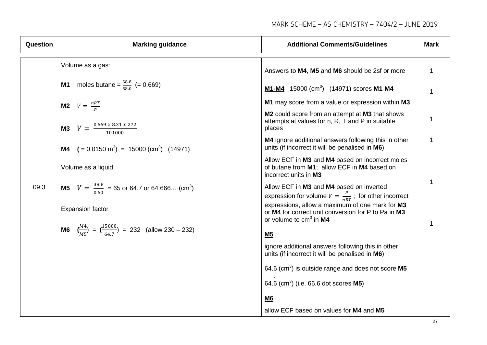| Question | <b>Marking guidance</b>                                                                                                                                                                                                                                                                                                                                                                                 | <b>Additional Comments/Guidelines</b>                                                                                              | <b>Mark</b> |
|----------|---------------------------------------------------------------------------------------------------------------------------------------------------------------------------------------------------------------------------------------------------------------------------------------------------------------------------------------------------------------------------------------------------------|------------------------------------------------------------------------------------------------------------------------------------|-------------|
|          | Volume as a gas:                                                                                                                                                                                                                                                                                                                                                                                        | Answers to M4, M5 and M6 should be 2sf or more                                                                                     | 1           |
|          | <b>M1</b> moles butane = $\frac{38.8}{58.0}$ (= 0.669)                                                                                                                                                                                                                                                                                                                                                  | <b>M1-M4</b> 15000 (cm <sup>3</sup> ) (14971) scores <b>M1-M4</b>                                                                  | 1           |
|          | <b>M2</b> $V = \frac{nRT}{R}$<br><b>M3</b> $V = \frac{0.669 \times 8.31 \times 272}{101000}$<br><b>M4</b> $( = 0.0150 \text{ m}^3) = 15000 \text{ (cm}^3)$ (14971)<br>Volume as a liquid:<br><b>M5</b> $V = \frac{38.8}{0.60} = 65$ or 64.7 or 64.666 (cm <sup>3</sup> )<br><b>Expansion factor</b><br><b>M6</b> $\left(\frac{M4}{M5}\right) = \left(\frac{15000}{64.7}\right) = 232$ (allow 230 – 232) | M1 may score from a value or expression within M3                                                                                  |             |
|          |                                                                                                                                                                                                                                                                                                                                                                                                         | M2 could score from an attempt at M3 that shows<br>attempts at values for n, R, T and P in suitable<br>places                      | 1           |
|          |                                                                                                                                                                                                                                                                                                                                                                                                         | M4 ignore additional answers following this in other<br>units (if incorrect it will be penalised in M6)                            | 1           |
|          |                                                                                                                                                                                                                                                                                                                                                                                                         | Allow ECF in M3 and M4 based on incorrect moles<br>of butane from M1; allow ECF in M4 based on<br>incorrect units in M3            |             |
| 09.3     |                                                                                                                                                                                                                                                                                                                                                                                                         | Allow ECF in M3 and M4 based on inverted<br>expression for volume $V = \frac{P}{nRT}$ ; for other incorrect                        | 1           |
|          |                                                                                                                                                                                                                                                                                                                                                                                                         | expressions, allow a maximum of one mark for M3<br>or M4 for correct unit conversion for P to Pa in M3<br>or volume to $cm3$ in M4 | 1           |
|          |                                                                                                                                                                                                                                                                                                                                                                                                         | M <sub>5</sub>                                                                                                                     |             |
|          |                                                                                                                                                                                                                                                                                                                                                                                                         | ignore additional answers following this in other<br>units (if incorrect it will be penalised in M6)                               |             |
|          |                                                                                                                                                                                                                                                                                                                                                                                                         | 64.6 ( $cm3$ ) is outside range and does not score M5                                                                              |             |
|          |                                                                                                                                                                                                                                                                                                                                                                                                         | 64.6 (cm <sup>3</sup> ) (i.e. 66.6 dot scores <b>M5</b> )                                                                          |             |
|          |                                                                                                                                                                                                                                                                                                                                                                                                         | M6                                                                                                                                 |             |
|          |                                                                                                                                                                                                                                                                                                                                                                                                         | allow ECF based on values for M4 and M5                                                                                            |             |